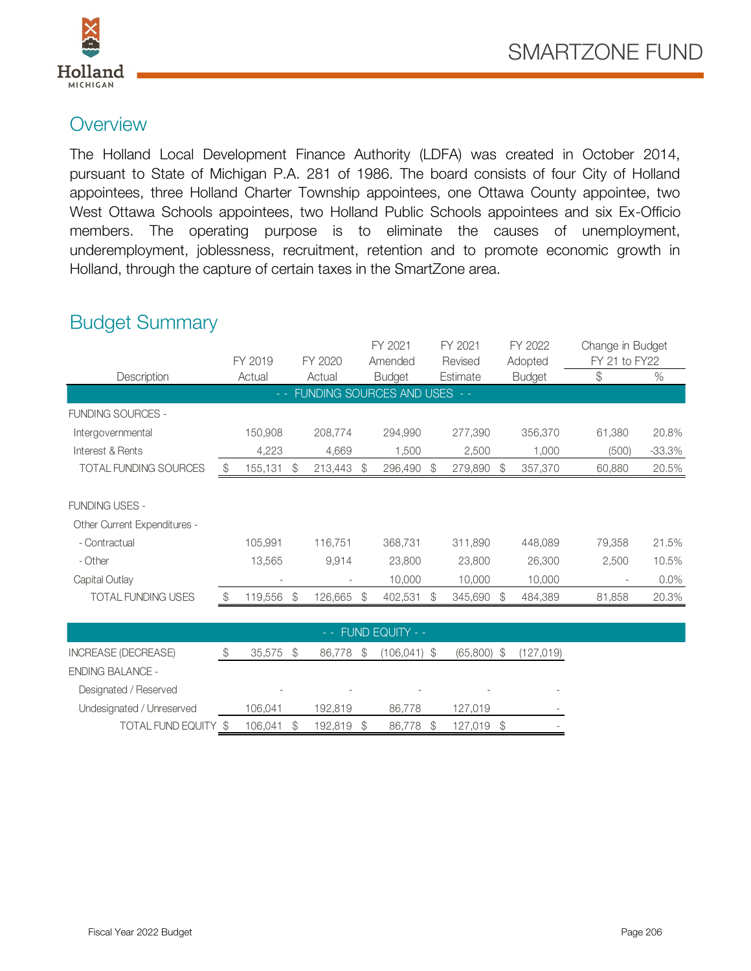

## **Overview**

The Holland Local Development Finance Authority (LDFA) was created in October 2014, pursuant to State of Michigan P.A. 281 of 1986. The board consists of four City of Holland appointees, three Holland Charter Township appointees, one Ottawa County appointee, two West Ottawa Schools appointees, two Holland Public Schools appointees and six Ex-Officio members. The operating purpose is to eliminate the causes of unemployment, underemployment, joblessness, recruitment, retention and to promote economic growth in Holland, through the capture of certain taxes in the SmartZone area.

## Budget Summary

| <b>Budget Summary</b>        |               |                               |               |         |    | FY 2021       |          | FY 2021 |               | FY 2022                  | Change in Budget |          |  |
|------------------------------|---------------|-------------------------------|---------------|---------|----|---------------|----------|---------|---------------|--------------------------|------------------|----------|--|
|                              |               | FY 2019                       |               | FY 2020 |    | Amended       | Revised  |         | Adopted       |                          | FY 21 to FY22    |          |  |
| Description                  | Actual        |                               |               | Actual  |    | <b>Budget</b> | Estimate |         |               | <b>Budget</b>            | $\mathcal{L}$    | $\%$     |  |
| FUNDING SOURCES AND USES - - |               |                               |               |         |    |               |          |         |               |                          |                  |          |  |
| <b>FUNDING SOURCES -</b>     |               |                               |               |         |    |               |          |         |               |                          |                  |          |  |
| Intergovernmental            |               | 150,908                       |               | 208,774 |    | 294,990       |          | 277,390 |               | 356,370                  | 61,380           | 20.8%    |  |
| Interest & Rents             |               | 4,223                         |               | 4,669   |    | 1,500         |          | 2,500   |               | 1,000                    | (500)            | $-33.3%$ |  |
| TOTAL FUNDING SOURCES        | \$            | 155,131                       | \$            | 213,443 | \$ | 296,490       | \$       | 279,890 | 357,370<br>\$ |                          | 60,880           | 20.5%    |  |
| <b>FUNDING USES -</b>        |               |                               |               |         |    |               |          |         |               |                          |                  |          |  |
| Other Current Expenditures - |               |                               |               |         |    |               |          |         |               |                          |                  |          |  |
| - Contractual                |               | 105,991                       |               | 116,751 |    | 368,731       |          | 311,890 |               | 448,089                  | 79,358           | 21.5%    |  |
| - Other                      |               | 13,565                        |               | 9,914   |    | 23,800        |          | 23,800  |               | 26,300                   | 2,500            | 10.5%    |  |
| Capital Outlay               |               |                               |               |         |    | 10,000        |          | 10,000  |               | 10,000                   |                  | $0.0\%$  |  |
| <b>TOTAL FUNDING USES</b>    | $\frac{1}{2}$ | 119,556                       | $\mathcal{E}$ | 126,665 | \$ | 402,531       | S        | 345,690 | $\mathcal{L}$ | 484,389                  | 81,858           | 20.3%    |  |
|                              |               |                               |               |         |    |               |          |         |               |                          |                  |          |  |
| FUND EQUITY - -              |               |                               |               |         |    |               |          |         |               |                          |                  |          |  |
| INIODE A OF IDEODEA OF       | $\uparrow$    | $\cap$ $\Gamma$ $\sup$ $\cap$ |               |         |    |               |          |         |               | $(OC, COO)$ $(107, O10)$ |                  |          |  |

|                           |                 |                          | $-$ - FUND EQUITY - $-$ |                  |                          |
|---------------------------|-----------------|--------------------------|-------------------------|------------------|--------------------------|
| INCREASE (DECREASE)       | 35.575          | 86,778<br>\$             | $(106, 041)$ \$         | (65,800)<br>- \$ | (127,019)                |
| <b>ENDING BALANCE -</b>   |                 |                          |                         |                  |                          |
| Designated / Reserved     |                 | $\overline{\phantom{a}}$ |                         |                  | $\overline{\phantom{a}}$ |
| Undesignated / Unreserved | 106,041         | 192.819                  | 86,778                  | 127,019          | $\overline{\phantom{a}}$ |
| TOTAL FUND EQUITY \$      | 106.041<br>- \$ | 192.819<br>\$            | 86.778<br>S.            | 127.019          | $\overline{\phantom{a}}$ |
|                           |                 |                          |                         |                  |                          |